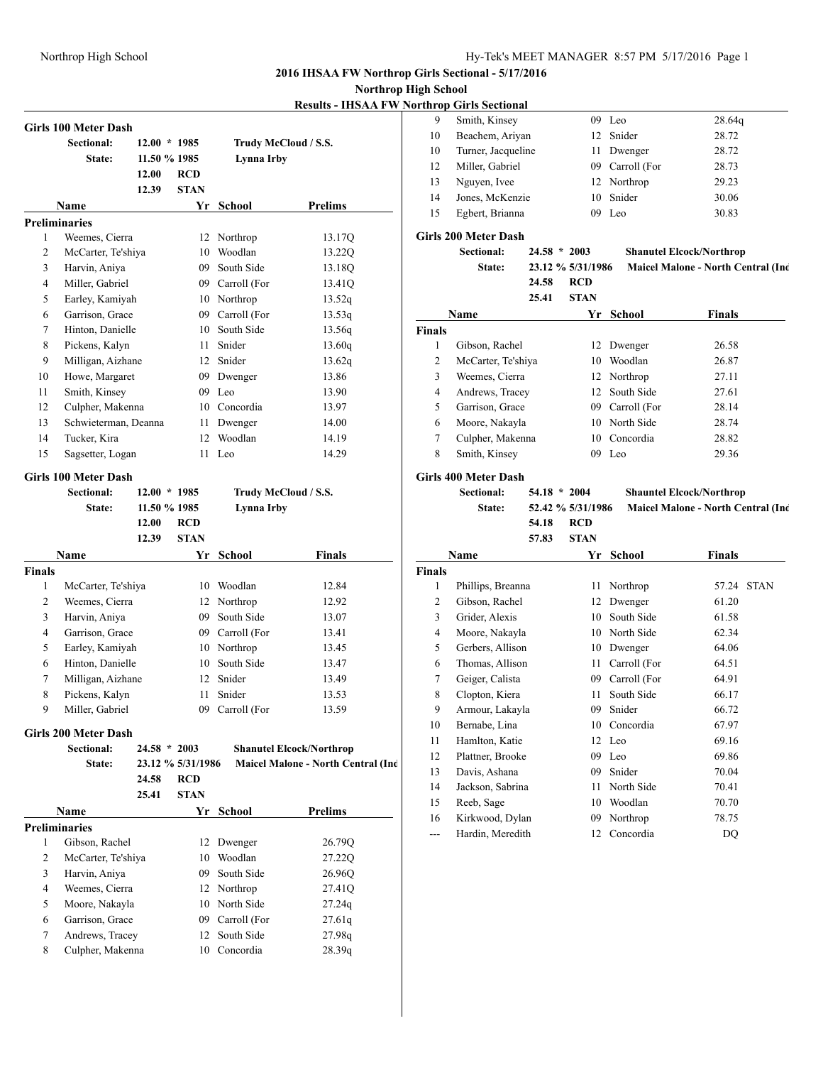**Northrop High School**

**Results - IHSAA FW Northrop Girls Sectional**

|               |                             |                |                   |                 | <u> Kesuits - Ifidaa f w No</u>    |
|---------------|-----------------------------|----------------|-------------------|-----------------|------------------------------------|
|               | <b>Girls 100 Meter Dash</b> |                |                   |                 |                                    |
|               | <b>Sectional:</b>           | $12.00 * 1985$ |                   |                 | Trudy McCloud / S.S.               |
|               | State:                      | 11.50 % 1985   |                   | Lynna Irby      |                                    |
|               |                             | 12.00          | <b>RCD</b>        |                 |                                    |
|               |                             | 12.39          | <b>STAN</b>       |                 |                                    |
|               | Name                        |                |                   | Yr School       | <b>Prelims</b>                     |
|               | <b>Preliminaries</b>        |                |                   |                 |                                    |
| 1             | Weemes, Cierra              |                | 12                | Northrop        | 13.17Q                             |
| 2             | McCarter, Te'shiya          |                |                   | 10 Woodlan      | 13.22Q                             |
| 3             | Harvin, Aniya               |                |                   | 09 South Side   | 13.18Q                             |
| 4             | Miller, Gabriel             |                |                   | 09 Carroll (For | 13.41Q                             |
| 5             | Earley, Kamiyah             |                |                   | 10 Northrop     | 13.52q                             |
| 6             | Garrison, Grace             |                |                   | 09 Carroll (For | 13.53q                             |
| 7             | Hinton, Danielle            |                |                   | 10 South Side   | 13.56q                             |
| 8             | Pickens, Kalyn              |                |                   | 11 Snider       | 13.60q                             |
| 9             | Milligan, Aizhane           |                |                   | 12 Snider       | 13.62q                             |
| 10            | Howe, Margaret              |                |                   | 09 Dwenger      | 13.86                              |
| 11            | Smith, Kinsey               |                |                   | 09 Leo          | 13.90                              |
| 12            | Culpher, Makenna            |                |                   | 10 Concordia    | 13.97                              |
| 13            | Schwieterman, Deanna        |                | 11                | Dwenger         | 14.00                              |
| 14            | Tucker, Kira                |                | 12                | Woodlan         | 14.19                              |
| 15            | Sagsetter, Logan            |                | 11                | Leo             | 14.29                              |
|               |                             |                |                   |                 |                                    |
|               | <b>Girls 100 Meter Dash</b> |                |                   |                 |                                    |
|               | Sectional:                  | $12.00 * 1985$ |                   |                 | Trudy McCloud / S.S.               |
|               | State:                      | 11.50 % 1985   |                   | Lynna Irby      |                                    |
|               |                             | 12.00          | <b>RCD</b>        |                 |                                    |
|               |                             | 12.39          | <b>STAN</b>       |                 |                                    |
|               | Name                        |                |                   | Yr School       | <b>Finals</b>                      |
| <b>Finals</b> |                             |                |                   |                 |                                    |
| 1             | McCarter, Te'shiya          |                |                   | 10 Woodlan      | 12.84                              |
| 2             | Weemes, Cierra              |                |                   | 12 Northrop     | 12.92                              |
| 3             | Harvin, Aniya               |                | 09                | South Side      | 13.07                              |
| 4             | Garrison, Grace             |                |                   | 09 Carroll (For | 13.41                              |
| 5             | Earley, Kamiyah             |                |                   | 10 Northrop     | 13.45                              |
| 6             | Hinton, Danielle            |                |                   | 10 South Side   | 13.47                              |
| 7             | Milligan, Aizhane           |                |                   | 12 Snider       | 13.49                              |
| 8             | Pickens, Kalyn              |                | 11                | Snider          | 13.53                              |
| 9             | Miller, Gabriel             |                |                   | 09 Carroll (For | 13.59                              |
|               | Girls 200 Meter Dash        |                |                   |                 |                                    |
|               | Sectional:                  | $24.58 * 2003$ |                   |                 | <b>Shanutel Elcock/Northrop</b>    |
|               | State:                      |                | 23.12 % 5/31/1986 |                 | Maicel Malone - North Central (Inc |
|               |                             | 24.58          | <b>RCD</b>        |                 |                                    |
|               |                             | 25.41          | <b>STAN</b>       |                 |                                    |
|               | Name                        |                |                   | Yr School       | <b>Prelims</b>                     |
|               | <b>Preliminaries</b>        |                |                   |                 |                                    |
| 1             | Gibson, Rachel              |                |                   | 12 Dwenger      | 26.79Q                             |
| 2             | McCarter, Te'shiya          |                |                   | 10 Woodlan      | 27.22Q                             |
| 3             | Harvin, Aniya               |                |                   | 09 South Side   | 26.96Q                             |
| 4             | Weemes, Cierra              |                |                   | 12 Northrop     | 27.41Q                             |
| 5             | Moore, Nakayla              |                |                   | 10 North Side   | 27.24q                             |
| 6             | Garrison, Grace             |                |                   | 09 Carroll (For | 27.61q                             |
| 7             | Andrews, Tracey             |                |                   | 12 South Side   | 27.98q                             |
| 8             | Culpher, Makenna            |                |                   | 10 Concordia    | 28.39q                             |
|               |                             |                |                   |                 |                                    |

|    | nrop Giris Sectional |    |                 |                    |
|----|----------------------|----|-----------------|--------------------|
| 9  | Smith, Kinsey        | 09 | Leo             | 28.64 <sub>q</sub> |
| 10 | Beachem, Ariyan      |    | 12 Snider       | 28.72              |
| 10 | Turner, Jacqueline   |    | 11 Dwenger      | 28.72              |
| 12 | Miller, Gabriel      |    | 09 Carroll (For | 28.73              |
| 13 | Nguyen, Ivee         |    | 12 Northrop     | 29.23              |
| 14 | Jones, McKenzie      |    | 10 Snider       | 30.06              |
| 15 | Egbert, Brianna      | 09 | Leo             | 30.83              |
|    |                      |    |                 |                    |

## **Girls 200 Meter Dash**

|               | <b>Sectional:</b><br>State: | 24.58 | $24.58 * 2003$<br>23.12 % 5/31/1986<br><b>RCD</b> |               | <b>Shanutel Elcock/Northrop</b><br><b>Maicel Malone - North Central (Inc.</b> |
|---------------|-----------------------------|-------|---------------------------------------------------|---------------|-------------------------------------------------------------------------------|
|               | Name                        | 25.41 | <b>STAN</b><br>Yr                                 | School        | <b>Finals</b>                                                                 |
| <b>Finals</b> |                             |       |                                                   |               |                                                                               |
| 1             | Gibson, Rachel              |       | 12                                                | Dwenger       | 26.58                                                                         |
| 2             | McCarter, Te'shiya          |       | 10                                                | Woodlan       | 26.87                                                                         |
| 3             | Weemes, Cierra              |       | 12                                                | Northrop      | 27.11                                                                         |
| 4             | Andrews, Tracey             |       |                                                   | 12 South Side | 27.61                                                                         |
| 5             | Garrison, Grace             |       | 09.                                               | Carroll (For  | 28.14                                                                         |
| 6             | Moore, Nakayla              |       | 10                                                | North Side    | 28.74                                                                         |
| 7             | Culpher, Makenna            |       |                                                   | 10 Concordia  | 28.82                                                                         |
| 8             | Smith, Kinsey               |       | 09                                                | Leo           | 29.36                                                                         |

# **Sectional: 54.18 \* 2004 Shauntel Elcock/Northrop**

**State: 52.42 % 5/31/1986 Maicel Malone - North Central (Indpls) 54.18 RCD**

# **57.83 STAN**

| Name              |    | School       | Finals |             |  |
|-------------------|----|--------------|--------|-------------|--|
|                   |    |              |        |             |  |
| Phillips, Breanna | 11 | Northrop     | 57.24  | <b>STAN</b> |  |
| Gibson, Rachel    | 12 | Dwenger      | 61.20  |             |  |
| Grider, Alexis    | 10 | South Side   | 61.58  |             |  |
| Moore, Nakavla    | 10 | North Side   | 62.34  |             |  |
| Gerbers, Allison  | 10 | Dwenger      | 64.06  |             |  |
| Thomas, Allison   | 11 | Carroll (For | 64.51  |             |  |
| Geiger, Calista   | 09 | Carroll (For | 64.91  |             |  |
| Clopton, Kiera    | 11 | South Side   | 66.17  |             |  |
| Armour, Lakayla   | 09 | Snider       | 66.72  |             |  |
| Bernabe, Lina     | 10 | Concordia    | 67.97  |             |  |
| Hamlton, Katie    | 12 | Leo          | 69.16  |             |  |
| Plattner, Brooke  | 09 | Leo          | 69.86  |             |  |
| Davis, Ashana     | 09 | Snider       | 70.04  |             |  |
| Jackson, Sabrina  | 11 | North Side   | 70.41  |             |  |
| Reeb, Sage        | 10 | Woodlan      | 70.70  |             |  |
| Kirkwood, Dylan   | 09 | Northrop     | 78.75  |             |  |
| Hardin, Meredith  | 12 | Concordia    | DQ     |             |  |
|                   |    | Yr           |        |             |  |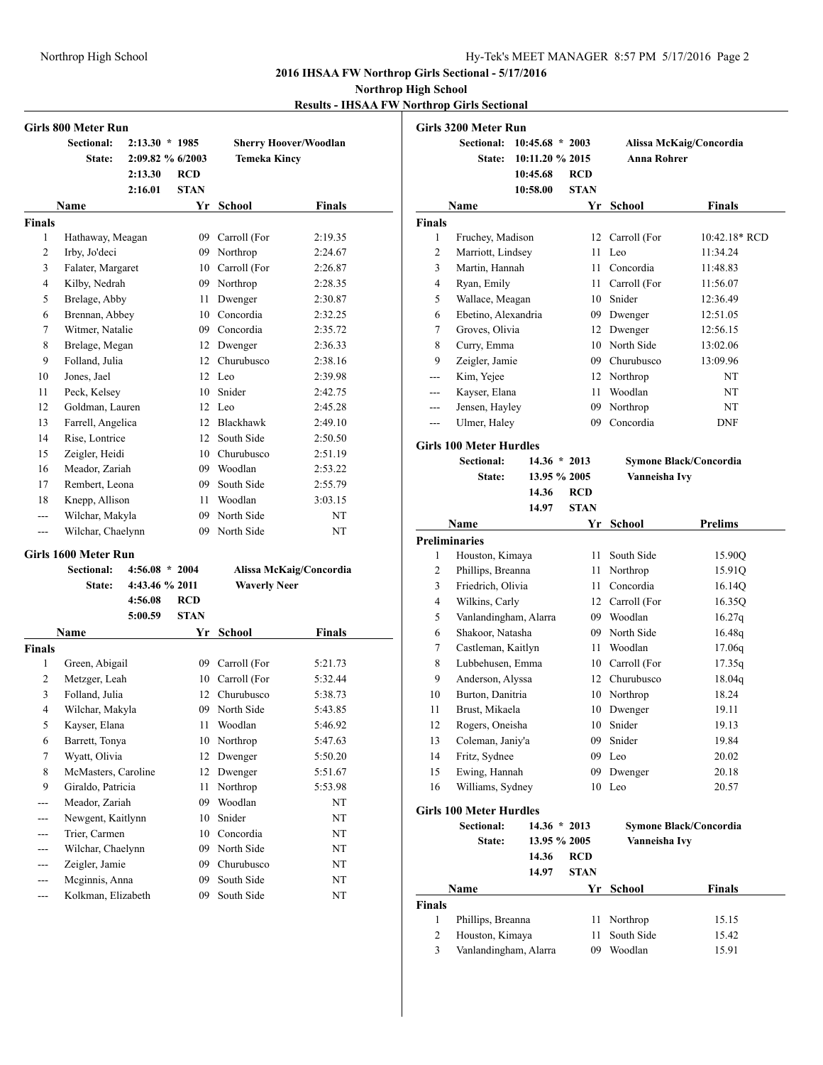#### **Northrop High School**

**Results - IHSAA FW Northrop Girls Sectional**

|                | Girls 800 Meter Run  |                  |             |                     |                              |
|----------------|----------------------|------------------|-------------|---------------------|------------------------------|
|                | <b>Sectional:</b>    | $2:13.30 * 1985$ |             |                     | <b>Sherry Hoover/Woodlan</b> |
|                | State:               | 2:09.82 % 6/2003 |             | <b>Temeka Kincy</b> |                              |
|                |                      | 2:13.30          | RCD         |                     |                              |
|                |                      | 2:16.01          | <b>STAN</b> |                     |                              |
|                | Name                 |                  |             | Yr School           | <b>Finals</b>                |
| <b>Finals</b>  |                      |                  |             |                     |                              |
| 1              | Hathaway, Meagan     |                  |             | 09 Carroll (For     | 2:19.35                      |
| $\overline{c}$ | Irby, Jo'deci        |                  |             | 09 Northrop         | 2:24.67                      |
| 3              | Falater, Margaret    |                  |             | 10 Carroll (For     | 2:26.87                      |
| 4              | Kilby, Nedrah        |                  |             | 09 Northrop         | 2:28.35                      |
| 5              | Brelage, Abby        |                  |             | 11 Dwenger          | 2:30.87                      |
| 6              | Brennan, Abbey       |                  |             | 10 Concordia        | 2:32.25                      |
| 7              | Witmer, Natalie      |                  |             | 09 Concordia        | 2:35.72                      |
| 8              | Brelage, Megan       |                  |             | 12 Dwenger          | 2:36.33                      |
| 9              | Folland, Julia       |                  |             | 12 Churubusco       | 2:38.16                      |
| 10             | Jones, Jael          |                  |             | 12 Leo              | 2:39.98                      |
| 11             | Peck, Kelsey         |                  |             | 10 Snider           | 2:42.75                      |
| 12             | Goldman, Lauren      |                  |             | $12$ Leo            | 2:45.28                      |
| 13             | Farrell, Angelica    |                  |             | 12 Blackhawk        | 2:49.10                      |
| 14             | Rise, Lontrice       |                  |             | 12 South Side       | 2:50.50                      |
| 15             | Zeigler, Heidi       |                  |             | 10 Churubusco       | 2:51.19                      |
| 16             | Meador, Zariah       |                  |             | 09 Woodlan          | 2:53.22                      |
| 17             | Rembert, Leona       |                  |             | 09 South Side       | 2:55.79                      |
| 18             | Knepp, Allison       |                  |             | 11 Woodlan          | 3:03.15                      |
| ---            | Wilchar, Makyla      |                  |             | 09 North Side       | NT                           |
| ---            | Wilchar, Chaelynn    |                  |             | 09 North Side       | NT                           |
|                | Girls 1600 Meter Run |                  |             |                     |                              |
|                | <b>Sectional:</b>    | $4:56.08 * 2004$ |             |                     | Alissa McKaig/Concordia      |
|                | State:               | 4:43.46 % 2011   |             | <b>Waverly Neer</b> |                              |
|                |                      | 4:56.08          | <b>RCD</b>  |                     |                              |
|                |                      | 5:00.59          | <b>STAN</b> |                     |                              |
|                | Name                 |                  |             | Yr School           | Finals                       |
| <b>Finals</b>  |                      |                  |             |                     |                              |
| 1              | Green, Abigail       |                  |             | 09 Carroll (For     | 5:21.73                      |
| 2              | Metzger, Leah        |                  |             | 10 Carroll (For     | 5:32.44                      |
| 3              | Folland, Julia       |                  |             | 12. Churubusco      | 5:38.73                      |
| $\overline{4}$ | Wilchar, Makyla      |                  |             | 09 North Side       | 5:43.85                      |
| 5              | Kayser, Elana        |                  | 11          | Woodlan             | 5:46.92                      |
| 6              | Barrett, Tonya       |                  | 10          | Northrop            | 5:47.63                      |
| 7              | Wyatt, Olivia        |                  | 12          | Dwenger             | 5:50.20                      |
| 8              | McMasters, Caroline  |                  | 12          | Dwenger             | 5:51.67                      |
| 9              | Giraldo, Patricia    |                  | 11          | Northrop            | 5:53.98                      |
| ---            | Meador, Zariah       |                  | 09          | Woodlan             | NT                           |
| $---$          | Newgent, Kaitlynn    |                  | 10          | Snider              | NT                           |
|                | Trier, Carmen        |                  |             | 10 Concordia        | NT                           |
|                | Wilchar, Chaelynn    |                  | 09          | North Side          | NT                           |
|                | Zeigler, Jamie       |                  | 09          | Churubusco          | NT                           |
| ---            | Mcginnis, Anna       |                  | 09          | South Side          | NT                           |
| ---            | Kolkman, Elizabeth   |                  | 09          | South Side          | NT                           |

|                | <b>Girls 3200 Meter Run</b>    |                   |             |                       |                         |
|----------------|--------------------------------|-------------------|-------------|-----------------------|-------------------------|
|                | <b>Sectional:</b>              | $10:45.68 * 2003$ |             |                       | Alissa McKaig/Concordia |
|                | <b>State:</b>                  | 10:11.20 % 2015   |             | <b>Anna Rohrer</b>    |                         |
|                |                                | 10:45.68          | RCD         |                       |                         |
|                |                                | 10:58.00          | <b>STAN</b> |                       |                         |
|                | Name                           |                   |             | Yr School             | <b>Finals</b>           |
| <b>Finals</b>  |                                |                   |             |                       |                         |
| 1              | Fruchey, Madison               |                   | 12          | Carroll (For          | 10:42.18* RCD           |
| 2              | Marriott, Lindsey              |                   | 11          | Leo                   | 11:34.24                |
| 3              | Martin, Hannah                 |                   |             | 11 Concordia          | 11:48.83                |
| $\overline{4}$ | Ryan, Emily                    |                   |             | 11 Carroll (For       | 11:56.07                |
| 5              | Wallace, Meagan                |                   |             | 10 Snider             | 12:36.49                |
| 6              | Ebetino, Alexandria            |                   |             | 09 Dwenger            | 12:51.05                |
| 7              | Groves, Olivia                 |                   |             | 12 Dwenger            | 12:56.15                |
| 8              | Curry, Emma                    |                   |             | 10 North Side         | 13:02.06                |
| 9              | Zeigler, Jamie                 |                   |             | 09 Churubusco         | 13:09.96                |
|                | Kim, Yejee                     |                   |             | 12 Northrop           | NT                      |
| ---            | Kayser, Elana                  |                   |             | 11 Woodlan            | NT                      |
| ---            | Jensen, Hayley                 |                   |             | 09 Northrop           | NT                      |
| ---            | Ulmer, Haley                   |                   | 09          | Concordia             | DNF                     |
|                | <b>Girls 100 Meter Hurdles</b> |                   |             |                       |                         |
|                | Sectional:                     | $14.36 * 2013$    |             |                       | Symone Black/Concordia  |
|                | State:                         | 13.95 % 2005      |             | Vanneisha Ivy         |                         |
|                |                                | 14.36             | <b>RCD</b>  |                       |                         |
|                |                                | 14.97             | <b>STAN</b> |                       |                         |
|                | Name                           |                   | Yr          | <b>School</b>         | <b>Prelims</b>          |
|                | <b>Preliminaries</b>           |                   |             |                       |                         |
| 1              | Houston, Kimaya                |                   | 11          | South Side            | 15.90Q                  |
| 2              | Phillips, Breanna              |                   | 11          | Northrop              | 15.91Q                  |
| 3              | Friedrich, Olivia              |                   | 11          | Concordia             | 16.14Q                  |
| 4              | Wilkins, Carly                 |                   |             | 12 Carroll (For       | 16.35Q                  |
| 5              | Vanlandingham, Alarra          |                   |             | 09 Woodlan            | 16.27q                  |
| 6              | Shakoor, Natasha               |                   |             | 09 North Side         | 16.48q                  |
| 7              | Castleman, Kaitlyn             |                   |             | 11 Woodlan            | 17.06q                  |
| 8              | Lubbehusen, Emma               |                   |             | 10 Carroll (For       | 17.35q                  |
| 9              | Anderson, Alyssa               |                   |             | 12 Churubusco         | 18.04q                  |
| 10             | Burton, Danitria               |                   |             | 10 Northrop           | 18.24                   |
| 11             | Brust, Mikaela                 |                   | 10          | Dwenger               | 19.11                   |
| 12             | Rogers, Oneisha                |                   | 10          | Snider                | 19.13                   |
| 13             | Coleman, Janiy'a               |                   | 09          | Snider                | 19.84                   |
| 14             | Fritz, Sydnee                  |                   |             | 09 Leo                | 20.02                   |
| 15             | Ewing, Hannah                  |                   | 09          | Dwenger               | 20.18                   |
| 16             | Williams, Sydney               |                   | 10          | Leo                   | 20.57                   |
|                | <b>Girls 100 Meter Hurdles</b> |                   |             |                       |                         |
|                | <b>Sectional:</b>              | $14.36 * 2013$    |             |                       |                         |
|                |                                |                   |             |                       | Symone Black/Concordia  |
|                | State:                         | 13.95 % 2005      |             | Vanneisha Ivy         |                         |
|                |                                | 14.36             | RCD         |                       |                         |
|                |                                | 14.97             | <b>STAN</b> |                       |                         |
| <b>Finals</b>  | Name                           |                   | Yr          | <b>School</b>         | <b>Finals</b>           |
| 1              |                                |                   |             |                       |                         |
|                | Phillips, Breanna              |                   | 11          | Northrop              | 15.15                   |
| 2<br>3         | Houston, Kimaya                |                   | 11<br>09    | South Side<br>Woodlan | 15.42                   |
|                | Vanlandingham, Alarra          |                   |             |                       | 15.91                   |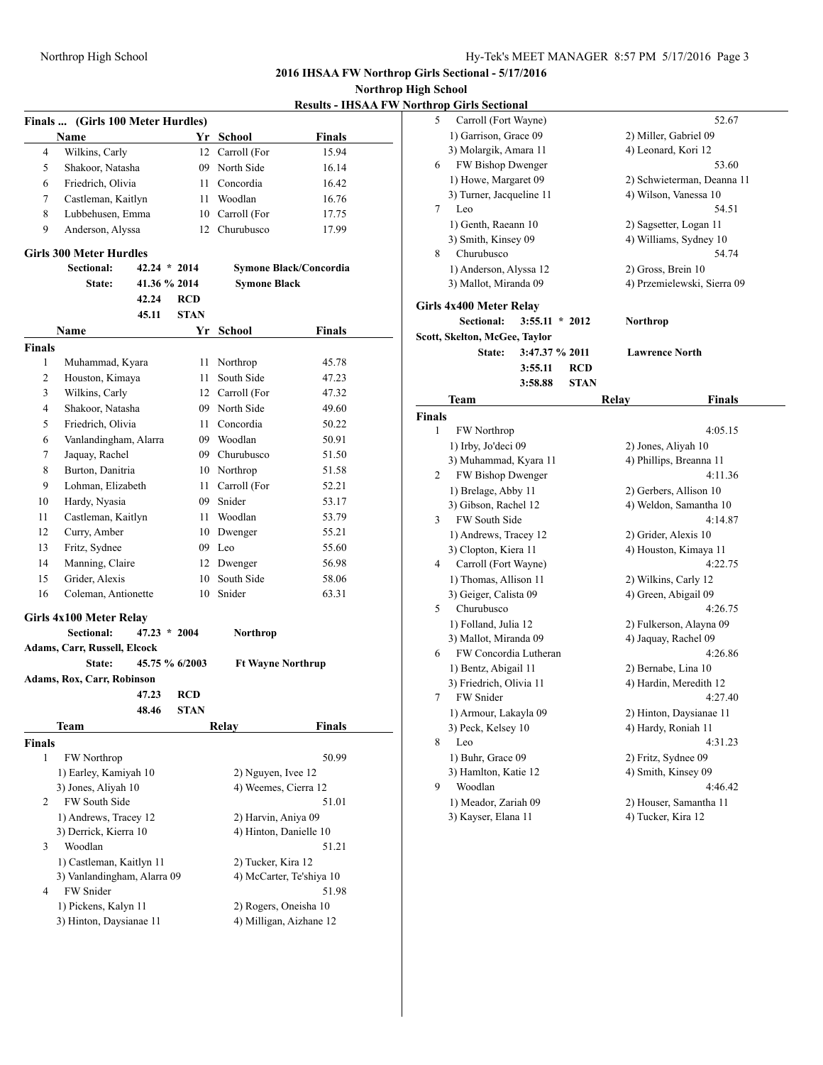**Northrop High** 

|  | <b>Results - IHSAA FW Northrop Girls Sectional</b> |  |
|--|----------------------------------------------------|--|
|  |                                                    |  |

|                | Finals  (Girls 100 Meter Hurdles)      |                |                |                          |                               |
|----------------|----------------------------------------|----------------|----------------|--------------------------|-------------------------------|
|                | Name                                   |                |                | Yr School                | Finals                        |
| 4              | Wilkins, Carly                         |                |                | 12 Carroll (For          | 15.94                         |
| 5              | Shakoor, Natasha                       |                |                | 09 North Side            | 16.14                         |
| 6              | Friedrich, Olivia                      |                |                | 11 Concordia             | 16.42                         |
| 7              | Castleman, Kaitlyn                     |                |                | 11 Woodlan               | 16.76                         |
| 8              | Lubbehusen, Emma                       |                |                | 10 Carroll (For          | 17.75                         |
| 9              | Anderson, Alyssa                       |                |                | 12 Churubusco            | 17.99                         |
|                | <b>Girls 300 Meter Hurdles</b>         |                |                |                          |                               |
|                | Sectional:                             | $42.24 * 2014$ |                |                          | <b>Symone Black/Concordia</b> |
|                | State:                                 | 41.36 % 2014   |                | <b>Symone Black</b>      |                               |
|                |                                        | 42.24          | <b>RCD</b>     |                          |                               |
|                |                                        | 45.11          | <b>STAN</b>    |                          |                               |
|                | Name                                   |                |                | Yr School                | Finals                        |
| <b>Finals</b>  |                                        |                |                |                          |                               |
| 1              | Muhammad, Kyara                        |                | 11             | Northrop                 | 45.78                         |
| $\overline{2}$ | Houston, Kimaya                        |                | 11 -           | South Side               | 47.23                         |
| 3              | Wilkins, Carly                         |                |                | 12 Carroll (For          | 47.32                         |
| 4              | Shakoor, Natasha                       |                |                | 09 North Side            | 49.60                         |
| 5              | Friedrich, Olivia                      |                |                | 11 Concordia             | 50.22                         |
| 6              | Vanlandingham, Alarra                  |                |                | 09 Woodlan               | 50.91                         |
| 7              | Jaquay, Rachel                         |                |                | 09 Churubusco            | 51.50                         |
| 8              | Burton, Danitria                       |                |                | 10 Northrop              | 51.58                         |
| 9              | Lohman, Elizabeth                      |                |                | 11 Carroll (For          | 52.21                         |
| 10             | Hardy, Nyasia                          |                |                | 09 Snider                | 53.17                         |
| 11             | Castleman, Kaitlyn                     |                |                | 11 Woodlan               | 53.79                         |
| 12             | Curry, Amber                           |                |                | 10 Dwenger               | 55.21                         |
| 13             | Fritz, Sydnee                          |                |                | 09 Leo                   | 55.60                         |
| 14             | Manning, Claire                        |                |                | 12 Dwenger               | 56.98                         |
| 15             | Grider, Alexis                         |                | 10             | South Side               | 58.06                         |
| 16             | Coleman, Antionette                    |                |                | 10 Snider                | 63.31                         |
|                |                                        |                |                |                          |                               |
|                | Girls 4x100 Meter Relay                |                |                |                          |                               |
|                | Sectional:                             | $47.23 * 2004$ |                | Northrop                 |                               |
|                | Adams, Carr, Russell, Elcock<br>State: |                | 45.75 % 6/2003 |                          |                               |
|                | Adams, Rox, Carr, Robinson             |                |                | <b>Ft Wayne Northrup</b> |                               |
|                |                                        | 47.23          | <b>RCD</b>     |                          |                               |
|                |                                        | 48.46          | <b>STAN</b>    |                          |                               |
|                |                                        |                |                | Relay                    |                               |
| <b>Finals</b>  | Team                                   |                |                |                          | <b>Finals</b>                 |
| 1              | FW Northrop                            |                |                |                          | 50.99                         |
|                | 1) Earley, Kamiyah 10                  |                |                | 2) Nguyen, Ivee 12       |                               |
|                | 3) Jones, Aliyah 10                    |                |                | 4) Weemes, Cierra 12     |                               |
| 2              | FW South Side                          |                |                |                          | 51.01                         |
|                | 1) Andrews, Tracey 12                  |                |                | 2) Harvin, Aniya 09      |                               |
|                | 3) Derrick, Kierra 10                  |                |                | 4) Hinton, Danielle 10   |                               |
| 3              | Woodlan                                |                |                |                          | 51.21                         |
|                | 1) Castleman, Kaitlyn 11               |                |                | 2) Tucker, Kira 12       |                               |
|                | 3) Vanlandingham, Alarra 09            |                |                |                          | 4) McCarter, Te'shiya 10      |
| 4              | FW Snider                              |                |                |                          | 51.98                         |
|                | 1) Pickens, Kalyn 11                   |                |                | 2) Rogers, Oneisha 10    |                               |
|                | 3) Hinton, Daysianae 11                |                |                |                          | 4) Milligan, Aizhane 12       |
|                |                                        |                |                |                          |                               |

| Iigh School |                                             |             |                                                |
|-------------|---------------------------------------------|-------------|------------------------------------------------|
|             | orthrop Girls Sectional                     |             |                                                |
| 5           | Carroll (Fort Wayne)                        |             | 52.67                                          |
|             | 1) Garrison, Grace 09                       |             | 2) Miller, Gabriel 09                          |
|             | 3) Molargik, Amara 11                       |             | 4) Leonard, Kori 12                            |
| 6           | FW Bishop Dwenger                           |             | 53.60                                          |
|             | 1) Howe, Margaret 09                        |             | 2) Schwieterman, Deanna 11                     |
|             | 3) Turner, Jacqueline 11                    |             | 4) Wilson, Vanessa 10                          |
| 7           | Leo                                         |             | 54.51                                          |
|             | 1) Genth, Raeann 10                         |             | 2) Sagsetter, Logan 11                         |
|             | 3) Smith, Kinsey 09                         |             | 4) Williams, Sydney 10                         |
| 8           | Churubusco                                  |             | 54.74                                          |
|             | 1) Anderson, Alyssa 12                      |             | 2) Gross, Brein 10                             |
|             | 3) Mallot, Miranda 09                       |             | 4) Przemielewski, Sierra 09                    |
|             | Girls 4x400 Meter Relay                     |             |                                                |
|             | $3:55.11 * 2012$<br><b>Sectional:</b>       | Northrop    |                                                |
|             | Scott, Skelton, McGee, Taylor               |             |                                                |
|             | 3:47.37 % 2011<br>State:                    |             | <b>Lawrence North</b>                          |
|             | 3:55.11                                     | <b>RCD</b>  |                                                |
|             | 3:58.88                                     | <b>STAN</b> |                                                |
|             | Team                                        | Relay       | Finals                                         |
| Finals      |                                             |             |                                                |
| 1           | <b>FW</b> Northrop                          |             | 4:05.15                                        |
|             | 1) Irby, Jo'deci 09                         |             | 2) Jones, Aliyah 10                            |
|             | 3) Muhammad, Kyara 11                       |             | 4) Phillips, Breanna 11                        |
| 2           | FW Bishop Dwenger                           |             | 4:11.36                                        |
|             | 1) Brelage, Abby 11                         |             | 2) Gerbers, Allison 10                         |
|             | 3) Gibson, Rachel 12                        |             | 4) Weldon, Samantha 10                         |
| 3           | FW South Side                               |             | 4:14.87                                        |
|             | 1) Andrews, Tracey 12                       |             | 2) Grider, Alexis 10                           |
|             | 3) Clopton, Kiera 11                        |             | 4) Houston, Kimaya 11                          |
| 4           | Carroll (Fort Wayne)                        |             | 4:22.75                                        |
|             | 1) Thomas, Allison 11                       |             | 2) Wilkins, Carly 12                           |
|             | 3) Geiger, Calista 09                       |             | 4) Green, Abigail 09                           |
| 5           | Churubusco                                  |             | 4:26.75                                        |
|             | 1) Folland, Julia 12                        |             | 2) Fulkerson, Alayna 09                        |
|             | 3) Mallot, Miranda 09                       |             | 4) Jaquay, Rachel 09                           |
| 6           | FW Concordia Lutheran                       |             | 4:26.86                                        |
|             | 1) Bentz, Abigail 11                        |             | 2) Bernabe, Lina 10                            |
|             | 3) Friedrich, Olivia 11                     |             | 4) Hardin, Meredith 12                         |
| 7           | FW Snider                                   |             | 4:27.40                                        |
|             | 1) Armour, Lakayla 09<br>3) Peck, Kelsey 10 |             | 2) Hinton, Daysianae 11<br>4) Hardy, Roniah 11 |
| 8           | Leo                                         |             | 4:31.23                                        |
|             | 1) Buhr, Grace 09                           |             | 2) Fritz, Sydnee 09                            |
|             | 3) Hamlton, Katie 12                        |             | 4) Smith, Kinsey 09                            |
| 9           | Woodlan                                     |             | 4:46.42                                        |
|             | 1) Meador, Zariah 09                        |             | 2) Houser, Samantha 11                         |
|             | 3) Kayser, Elana 11                         |             | 4) Tucker, Kira 12                             |
|             |                                             |             |                                                |
|             |                                             |             |                                                |
|             |                                             |             |                                                |
|             |                                             |             |                                                |
|             |                                             |             |                                                |
|             |                                             |             |                                                |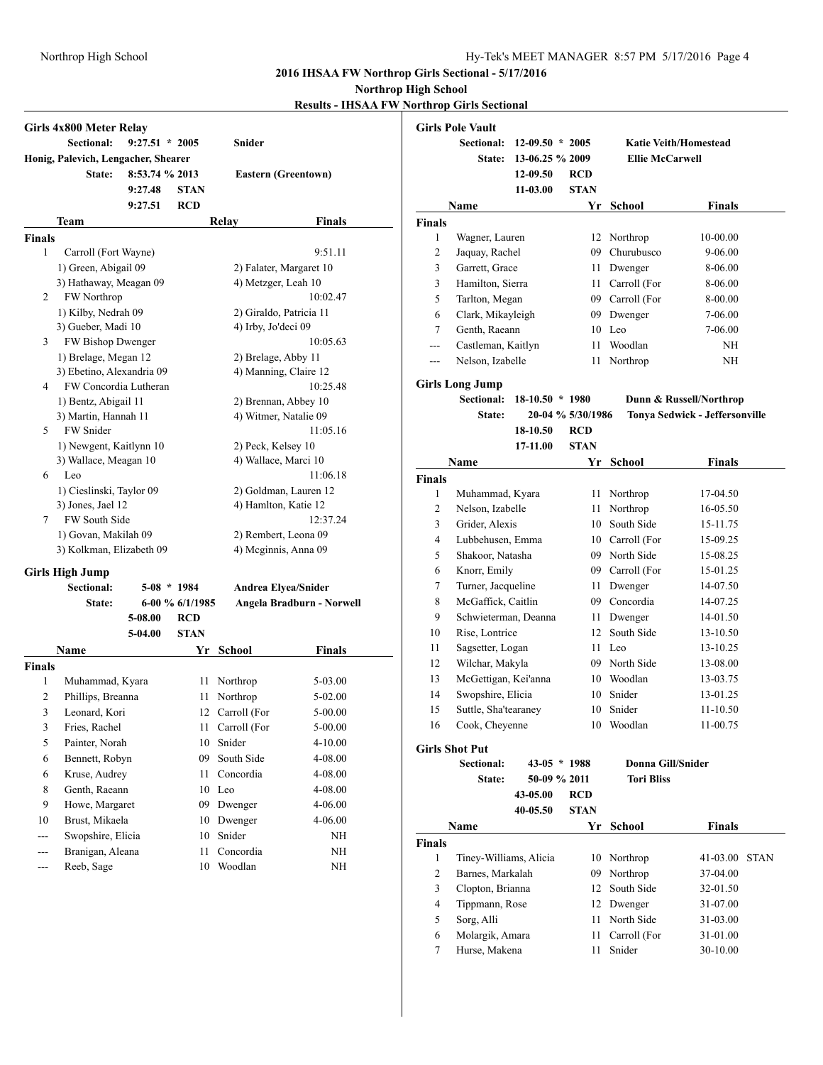# Northrop High School Hy-Tek's MEET MANAGER 8:57 PM 5/17/2016 Page 4

**2016 IHSAA FW Northrop Girls Sectional - 5/17/2016**

**Northrop High School**

**Results - IHSAA FW Northrop Girls Sectional**

|                | Girls 4x800 Meter Relay             |                  |                 |                         |                            |
|----------------|-------------------------------------|------------------|-----------------|-------------------------|----------------------------|
|                | <b>Sectional:</b>                   | $9:27.51 * 2005$ |                 | Snider                  |                            |
|                | Honig, Palevich, Lengacher, Shearer |                  |                 |                         |                            |
|                | State:                              | 8:53.74 % 2013   |                 |                         | <b>Eastern (Greentown)</b> |
|                |                                     | 9:27.48          | <b>STAN</b>     |                         |                            |
|                |                                     | 9:27.51          | <b>RCD</b>      |                         |                            |
|                | Team                                |                  |                 | Relay                   | <b>Finals</b>              |
| <b>Finals</b>  |                                     |                  |                 |                         |                            |
| 1              | Carroll (Fort Wayne)                |                  |                 |                         | 9:51.11                    |
|                | 1) Green, Abigail 09                |                  |                 |                         | 2) Falater, Margaret 10    |
|                | 3) Hathaway, Meagan 09              |                  |                 | 4) Metzger, Leah 10     |                            |
| 2              | FW Northrop                         |                  |                 |                         | 10:02.47                   |
|                | 1) Kilby, Nedrah 09                 |                  |                 | 2) Giraldo, Patricia 11 |                            |
|                | 3) Gueber, Madi 10                  |                  |                 | 4) Irby, Jo'deci 09     |                            |
| 3              | FW Bishop Dwenger                   |                  |                 |                         | 10:05.63                   |
|                | 1) Brelage, Megan 12                |                  |                 | 2) Brelage, Abby 11     |                            |
|                | 3) Ebetino, Alexandria 09           |                  |                 | 4) Manning, Claire 12   |                            |
| 4              | FW Concordia Lutheran               |                  |                 |                         | 10:25.48                   |
|                | 1) Bentz, Abigail 11                |                  |                 | 2) Brennan, Abbey 10    |                            |
|                | 3) Martin, Hannah 11                |                  |                 | 4) Witmer, Natalie 09   |                            |
| 5              | <b>FW</b> Snider                    |                  |                 |                         | 11:05.16                   |
|                | 1) Newgent, Kaitlynn 10             |                  |                 | 2) Peck, Kelsey 10      |                            |
|                | 3) Wallace, Meagan 10               |                  |                 | 4) Wallace, Marci 10    |                            |
| 6              | Leo                                 |                  |                 |                         | 11:06.18                   |
|                | 1) Cieslinski, Taylor 09            |                  |                 |                         | 2) Goldman, Lauren 12      |
|                | 3) Jones, Jael 12                   |                  |                 | 4) Hamlton, Katie 12    |                            |
| 7              | <b>FW South Side</b>                |                  |                 |                         | 12:37.24                   |
|                | 1) Govan, Makilah 09                |                  |                 | 2) Rembert, Leona 09    |                            |
|                | 3) Kolkman, Elizabeth 09            |                  |                 | 4) Mcginnis, Anna 09    |                            |
|                | <b>Girls High Jump</b>              |                  |                 |                         |                            |
|                | <b>Sectional:</b>                   | $5-08$ * 1984    |                 | Andrea Elyea/Snider     |                            |
|                | State:                              |                  | 6-00 % 6/1/1985 |                         | Angela Bradburn - Norwell  |
|                |                                     | 5-08.00          | <b>RCD</b>      |                         |                            |
|                |                                     | 5-04.00          | <b>STAN</b>     |                         |                            |
|                | Name                                |                  | Yr              | School                  | <b>Finals</b>              |
| <b>Finals</b>  |                                     |                  |                 |                         |                            |
| 1              | Muhammad, Kyara                     |                  | 11              | Northrop                | 5-03.00                    |
| $\overline{2}$ | Phillips, Breanna                   |                  | 11              | Northrop                | 5-02.00                    |
| 3              | Leonard, Kori                       |                  | 12              | Carroll (For            | 5-00.00                    |
| 3              | Fries, Rachel                       |                  | 11              | Carroll (For            | 5-00.00                    |
| 5              | Painter, Norah                      |                  | 10              | Snider                  | 4-10.00                    |
| 6              | Bennett, Robyn                      |                  | 09              | South Side              | 4-08.00                    |
| 6              | Kruse, Audrey                       |                  | 11              | Concordia               | 4-08.00                    |
| $\,$ $\,$      | Genth, Raeann                       |                  | 10              | Leo                     | 4-08.00                    |
| 9              | Howe, Margaret                      |                  | 09              | Dwenger                 | 4-06.00                    |
| 10             | Brust, Mikaela                      |                  |                 |                         |                            |
|                |                                     |                  | 10              | Dwenger<br>Snider       | 4-06.00                    |
| ---            | Swopshire, Elicia                   |                  | 10              |                         | NΗ                         |
| ---            | Branigan, Aleana                    |                  | 11              | Concordia               | NH                         |
| ---            | Reeb, Sage                          |                  | 10              | Woodlan                 | NH                         |

|                | Girls Pole Vault                |                   |                   |                              |                                |  |  |
|----------------|---------------------------------|-------------------|-------------------|------------------------------|--------------------------------|--|--|
|                | Sectional:<br>$12-09.50 * 2005$ |                   |                   | <b>Katie Veith/Homestead</b> |                                |  |  |
|                | <b>State:</b>                   | 13-06.25 % 2009   |                   | <b>Ellie McCarwell</b>       |                                |  |  |
|                |                                 | 12-09.50          | <b>RCD</b>        |                              |                                |  |  |
|                |                                 | $11-03.00$        | <b>STAN</b>       |                              |                                |  |  |
|                | Name                            |                   | Yr                | School                       | Finals                         |  |  |
| Finals         |                                 |                   |                   |                              |                                |  |  |
| 1              | Wagner, Lauren                  |                   |                   | 12 Northrop                  | 10-00.00                       |  |  |
| $\sqrt{2}$     | Jaquay, Rachel                  |                   |                   | 09 Churubusco                | 9-06.00                        |  |  |
| 3              | Garrett, Grace                  |                   |                   | 11 Dwenger                   | 8-06.00                        |  |  |
| 3              | Hamilton, Sierra                |                   |                   | 11 Carroll (For              | 8-06.00                        |  |  |
| 5              | Tarlton, Megan                  |                   |                   | 09 Carroll (For              | 8-00.00                        |  |  |
| 6              | Clark, Mikayleigh               |                   |                   | 09 Dwenger                   | 7-06.00                        |  |  |
| 7              | Genth, Raeann                   |                   |                   | 10 Leo                       | 7-06.00                        |  |  |
| ---            | Castleman, Kaitlyn              |                   | 11                | Woodlan                      | NH                             |  |  |
| ---            | Nelson, Izabelle                |                   | 11                | Northrop                     | NH                             |  |  |
|                |                                 |                   |                   |                              |                                |  |  |
|                | Girls Long Jump<br>Sectional:   | $18-10.50 * 1980$ |                   |                              | Dunn & Russell/Northrop        |  |  |
|                | State:                          |                   | 20-04 % 5/30/1986 |                              | Tonya Sedwick - Jeffersonville |  |  |
|                |                                 | 18-10.50          | <b>RCD</b>        |                              |                                |  |  |
|                |                                 | 17-11.00          | <b>STAN</b>       |                              |                                |  |  |
|                | Name                            |                   | Yr                | <b>School</b>                | <b>Finals</b>                  |  |  |
| Finals         |                                 |                   |                   |                              |                                |  |  |
| $\mathbf{1}$   | Muhammad, Kyara                 |                   | 11                | Northrop                     | 17-04.50                       |  |  |
| $\sqrt{2}$     | Nelson, Izabelle                |                   | 11                | Northrop                     | 16-05.50                       |  |  |
| 3              | Grider, Alexis                  |                   |                   | 10 South Side                | 15-11.75                       |  |  |
|                |                                 |                   |                   |                              |                                |  |  |
| 4              | Lubbehusen, Emma                |                   |                   | 10 Carroll (For              | 15-09.25                       |  |  |
| 5              | Shakoor, Natasha                |                   |                   | 09 North Side                | 15-08.25                       |  |  |
| 6              | Knorr, Emily                    |                   |                   | 09 Carroll (For              | 15-01.25                       |  |  |
| 7              | Turner, Jacqueline              |                   |                   | 11 Dwenger                   | 14-07.50                       |  |  |
| 8              | McGaffick, Caitlin              |                   |                   | 09 Concordia                 | 14-07.25                       |  |  |
| 9              | Schwieterman, Deanna            |                   |                   | 11 Dwenger                   | 14-01.50                       |  |  |
| 10             | Rise, Lontrice                  |                   |                   | 12 South Side                | 13-10.50                       |  |  |
| 11             | Sagsetter, Logan                |                   |                   | 11 Leo                       | 13-10.25                       |  |  |
| 12             | Wilchar, Makyla                 |                   |                   | 09 North Side                | 13-08.00                       |  |  |
| 13             | McGettigan, Kei'anna            |                   |                   | 10 Woodlan                   | 13-03.75                       |  |  |
| 14             | Swopshire, Elicia               |                   |                   | 10 Snider                    | 13-01.25                       |  |  |
| 15             | Suttle, Sha'tearaney            |                   |                   | 10 Snider                    | 11-10.50                       |  |  |
| 16             | Cook, Cheyenne                  |                   |                   | 10 Woodlan                   | 11-00.75                       |  |  |
|                | Girls Shot Put                  |                   |                   |                              |                                |  |  |
|                | <b>Sectional:</b>               | $43-05 * 1988$    |                   | <b>Donna Gill/Snider</b>     |                                |  |  |
|                | State:                          | 50-09 % 2011      |                   | <b>Tori Bliss</b>            |                                |  |  |
|                |                                 | 43-05.00          | <b>RCD</b>        |                              |                                |  |  |
|                |                                 | 40-05.50          | <b>STAN</b>       |                              |                                |  |  |
|                | Name                            |                   | Yr                | <b>School</b>                | <b>Finals</b>                  |  |  |
| Finals         |                                 |                   |                   |                              |                                |  |  |
| $\mathbf{1}$   | Tiney-Williams, Alicia          |                   | 10                | Northrop                     | 41-03.00<br><b>STAN</b>        |  |  |
| $\overline{c}$ | Barnes, Markalah                |                   | 09                | Northrop                     | 37-04.00                       |  |  |
| 3              | Clopton, Brianna                |                   |                   | 12 South Side                | 32-01.50                       |  |  |
| 4              | Tippmann, Rose                  |                   |                   | 12 Dwenger                   | 31-07.00                       |  |  |
| 5              | Sorg, Alli                      |                   | 11                | North Side                   | 31-03.00                       |  |  |
| 6              | Molargik, Amara                 |                   | 11                | Carroll (For                 | 31-01.00                       |  |  |
| 7              | Hurse, Makena                   |                   | 11                | Snider                       | 30-10.00                       |  |  |
|                |                                 |                   |                   |                              |                                |  |  |